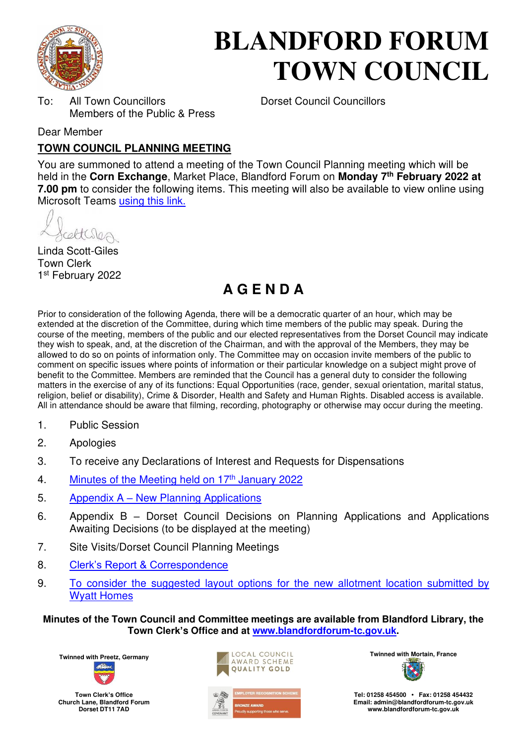

# **BLANDFORD FORUM TOWN COUNCIL**

To: All Town Councillors Dorset Council Councillors Members of the Public & Press

Dear Member

# **TOWN COUNCIL PLANNING MEETING**

You are summoned to attend a meeting of the Town Council Planning meeting which will be held in the **Corn Exchange**, Market Place, Blandford Forum on **Monday 7th February 2022 at 7.00 pm** to consider the following items. This meeting will also be available to view online using Microsoft Teams [using this link.](https://teams.microsoft.com/l/meetup-join/19%3a2cb1b1f9de074efdad40308940ab9ba0%40thread.tacv2/1637586220879?context=%7b%22Tid%22%3a%223cd8f2fb-4c45-4162-86f1-fb87b5f6a138%22%2c%22Oid%22%3a%2265e5950c-ab1c-41cc-9090-4a755c733f54%22%7d)

cetteres

Linda Scott-Giles Town Clerk 1 st February 2022

# **A G E N D A**

Prior to consideration of the following Agenda, there will be a democratic quarter of an hour, which may be extended at the discretion of the Committee, during which time members of the public may speak. During the course of the meeting, members of the public and our elected representatives from the Dorset Council may indicate they wish to speak, and, at the discretion of the Chairman, and with the approval of the Members, they may be allowed to do so on points of information only. The Committee may on occasion invite members of the public to comment on specific issues where points of information or their particular knowledge on a subject might prove of benefit to the Committee. Members are reminded that the Council has a general duty to consider the following matters in the exercise of any of its functions: Equal Opportunities (race, gender, sexual orientation, marital status, religion, belief or disability), Crime & Disorder, Health and Safety and Human Rights. Disabled access is available. All in attendance should be aware that filming, recording, photography or otherwise may occur during the meeting.

- 1. Public Session
- 2. Apologies
- 3. To receive any Declarations of Interest and Requests for Dispensations
- 4. [Minutes of the Meeting held on 17](https://blandfordforum-tc.gov.uk/wp-content/uploads/2022/01/170122.pdf)<sup>th</sup> January 2022
- 5. Appendix A – [New Planning Applications](#page-1-0)
- 6. Appendix B Dorset Council Decisions on Planning Applications and Applications Awaiting Decisions (to be displayed at the meeting)
- 7. Site Visits/Dorset Council Planning Meetings
- 8. [Clerk's Report & Correspondence](#page-2-0)
- 9. [To consider the suggested layout options for the new allotment location submitted by](#page-3-0)  [Wyatt Homes](#page-3-0)

**Minutes of the Town Council and Committee meetings are available from Blandford Library, the Town Clerk's Office and at [www.blandfordforum-tc.gov.uk.](http://www.blandfordforum-tc.gov.uk/)** 



**Town Clerk's Office Church Lane, Blandford Forum Dorset DT11 7AD**





**Tel: 01258 454500 • Fax: 01258 454432 Email: admin@blandfordforum-tc.gov.uk [www.blandfordforum-tc.gov.uk](http://www.blandfordforum-tc.gov.uk/)**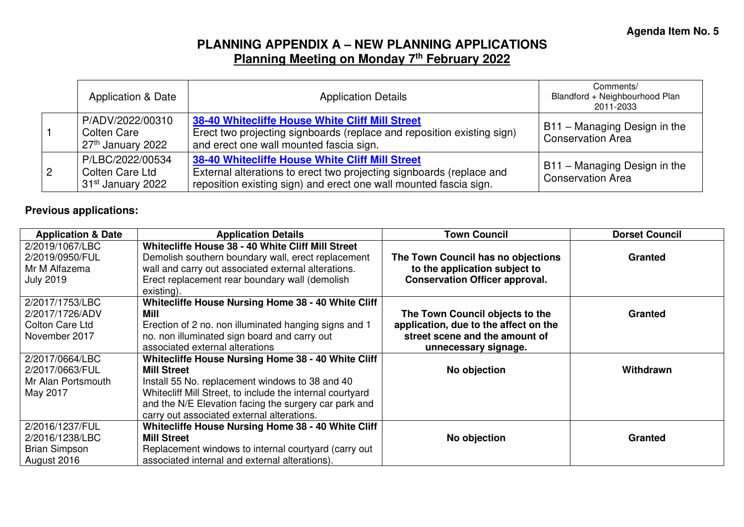# **PLANNING APPENDIX A – NEW PLANNING APPLICATIONS Planning Meeting on Monday 7th February 2022**

|  | Application & Date                                                   | <b>Application Details</b>                                                                                                                                                                   | Comments/<br>Blandford + Neighbourhood Plan<br>2011-2033 |
|--|----------------------------------------------------------------------|----------------------------------------------------------------------------------------------------------------------------------------------------------------------------------------------|----------------------------------------------------------|
|  | P/ADV/2022/00310<br>Colten Care<br>27 <sup>th</sup> January 2022     | 38-40 Whitecliffe House White Cliff Mill Street<br>Erect two projecting signboards (replace and reposition existing sign)<br>and erect one wall mounted fascia sign.                         | B11 - Managing Design in the<br><b>Conservation Area</b> |
|  | P/LBC/2022/00534<br>Colten Care Ltd<br>31 <sup>st</sup> January 2022 | 38-40 Whitecliffe House White Cliff Mill Street<br>External alterations to erect two projecting signboards (replace and<br>reposition existing sign) and erect one wall mounted fascia sign. | B11 - Managing Design in the<br><b>Conservation Area</b> |

#### **Previous applications:**

<span id="page-1-0"></span>

| <b>Application &amp; Date</b> | <b>Application Details</b>                                | <b>Town Council</b>                   | <b>Dorset Council</b> |
|-------------------------------|-----------------------------------------------------------|---------------------------------------|-----------------------|
| 2/2019/1067/LBC               | Whitecliffe House 38 - 40 White Cliff Mill Street         |                                       |                       |
| 2/2019/0950/FUL               | Demolish southern boundary wall, erect replacement        | The Town Council has no objections    | <b>Granted</b>        |
| Mr M Alfazema                 | wall and carry out associated external alterations.       | to the application subject to         |                       |
| <b>July 2019</b>              | Erect replacement rear boundary wall (demolish            | <b>Conservation Officer approval.</b> |                       |
|                               | existing).                                                |                                       |                       |
| 2/2017/1753/LBC               | Whitecliffe House Nursing Home 38 - 40 White Cliff        |                                       |                       |
| 2/2017/1726/ADV               | Mill                                                      | The Town Council objects to the       | <b>Granted</b>        |
| Colton Care Ltd               | Erection of 2 no. non illuminated hanging signs and 1     | application, due to the affect on the |                       |
| November 2017                 | no. non illuminated sign board and carry out              | street scene and the amount of        |                       |
|                               | associated external alterations                           | unnecessary signage.                  |                       |
| 2/2017/0664/LBC               | Whitecliffe House Nursing Home 38 - 40 White Cliff        |                                       |                       |
| 2/2017/0663/FUL               | <b>Mill Street</b>                                        | No objection                          | <b>Withdrawn</b>      |
| Mr Alan Portsmouth            | Install 55 No. replacement windows to 38 and 40           |                                       |                       |
| May 2017                      | Whitecliff Mill Street, to include the internal courtyard |                                       |                       |
|                               | and the N/E Elevation facing the surgery car park and     |                                       |                       |
|                               | carry out associated external alterations.                |                                       |                       |
| 2/2016/1237/FUL               | Whitecliffe House Nursing Home 38 - 40 White Cliff        |                                       |                       |
| 2/2016/1238/LBC               | <b>Mill Street</b>                                        | No objection                          | <b>Granted</b>        |
| <b>Brian Simpson</b>          | Replacement windows to internal courtyard (carry out      |                                       |                       |
| August 2016                   | associated internal and external alterations).            |                                       |                       |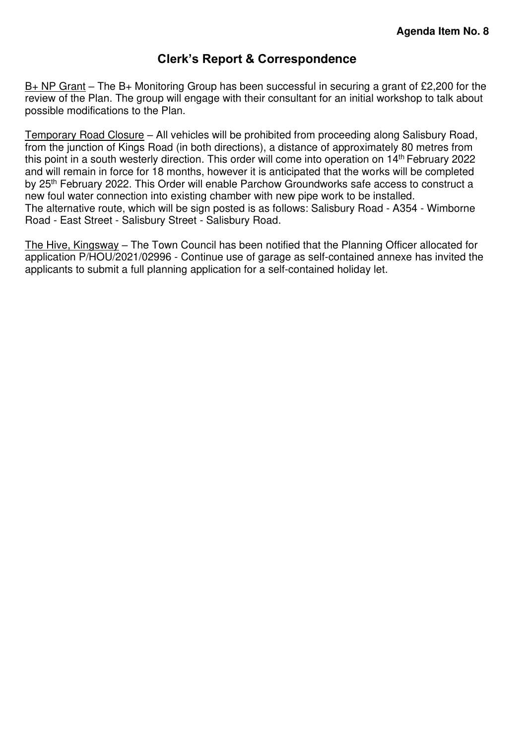### **Clerk's Report & Correspondence**

<span id="page-2-0"></span>B+ NP Grant – The B+ Monitoring Group has been successful in securing a grant of £2,200 for the review of the Plan. The group will engage with their consultant for an initial workshop to talk about possible modifications to the Plan.

Temporary Road Closure – All vehicles will be prohibited from proceeding along Salisbury Road, from the junction of Kings Road (in both directions), a distance of approximately 80 metres from this point in a south westerly direction. This order will come into operation on 14th February 2022 and will remain in force for 18 months, however it is anticipated that the works will be completed by 25<sup>th</sup> February 2022. This Order will enable Parchow Groundworks safe access to construct a new foul water connection into existing chamber with new pipe work to be installed. The alternative route, which will be sign posted is as follows: Salisbury Road - A354 - Wimborne Road - East Street - Salisbury Street - Salisbury Road.

The Hive, Kingsway - The Town Council has been notified that the Planning Officer allocated for application P/HOU/2021/02996 - Continue use of garage as self-contained annexe has invited the applicants to submit a full planning application for a self-contained holiday let.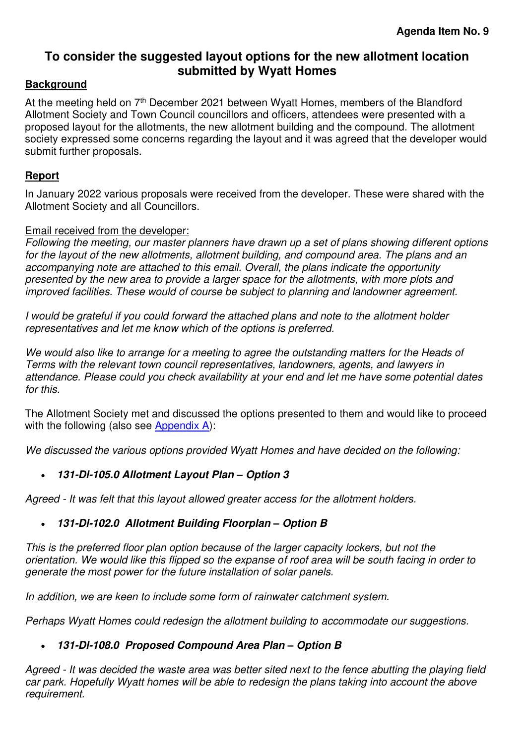# <span id="page-3-0"></span>**To consider the suggested layout options for the new allotment location submitted by Wyatt Homes**

#### **Background**

At the meeting held on 7<sup>th</sup> December 2021 between Wyatt Homes, members of the Blandford Allotment Society and Town Council councillors and officers, attendees were presented with a proposed layout for the allotments, the new allotment building and the compound. The allotment society expressed some concerns regarding the layout and it was agreed that the developer would submit further proposals.

#### **Report**

In January 2022 various proposals were received from the developer. These were shared with the Allotment Society and all Councillors.

#### Email received from the developer:

*Following the meeting, our master planners have drawn up a set of plans showing different options for the layout of the new allotments, allotment building, and compound area. The plans and an accompanying note are attached to this email. Overall, the plans indicate the opportunity presented by the new area to provide a larger space for the allotments, with more plots and improved facilities. These would of course be subject to planning and landowner agreement.*

*I would be grateful if you could forward the attached plans and note to the allotment holder representatives and let me know which of the options is preferred.* 

*We would also like to arrange for a meeting to agree the outstanding matters for the Heads of Terms with the relevant town council representatives, landowners, agents, and lawyers in attendance. Please could you check availability at your end and let me have some potential dates for this.* 

The Allotment Society met and discussed the options presented to them and would like to proceed with the following (also see [Appendix A\)](#page-5-0):

*We discussed the various options provided Wyatt Homes and have decided on the following:*

#### • **131-Dl-105.0 Allotment Layout Plan** *–* **Option 3**

*Agreed - It was felt that this layout allowed greater access for the allotment holders.*

#### • **131-Dl-102.0 Allotment Building Floorplan** *–* **Option B**

*This is the preferred floor plan option because of the larger capacity lockers, but not the orientation. We would like this flipped so the expanse of roof area will be south facing in order to generate the most power for the future installation of solar panels.* 

*In addition, we are keen to include some form of rainwater catchment system.* 

*Perhaps Wyatt Homes could redesign the allotment building to accommodate our suggestions.* 

#### • **131-Dl-108.0 Proposed Compound Area Plan** *–* **Option B**

*Agreed - It was decided the waste area was better sited next to the fence abutting the playing field car park. Hopefully Wyatt homes will be able to redesign the plans taking into account the above requirement.*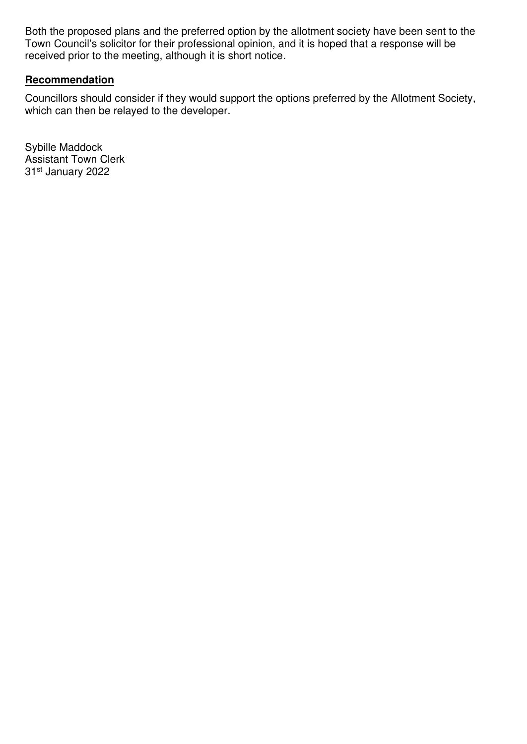Both the proposed plans and the preferred option by the allotment society have been sent to the Town Council's solicitor for their professional opinion, and it is hoped that a response will be received prior to the meeting, although it is short notice.

#### **Recommendation**

Councillors should consider if they would support the options preferred by the Allotment Society, which can then be relayed to the developer.

Sybille Maddock Assistant Town Clerk 31st January 2022